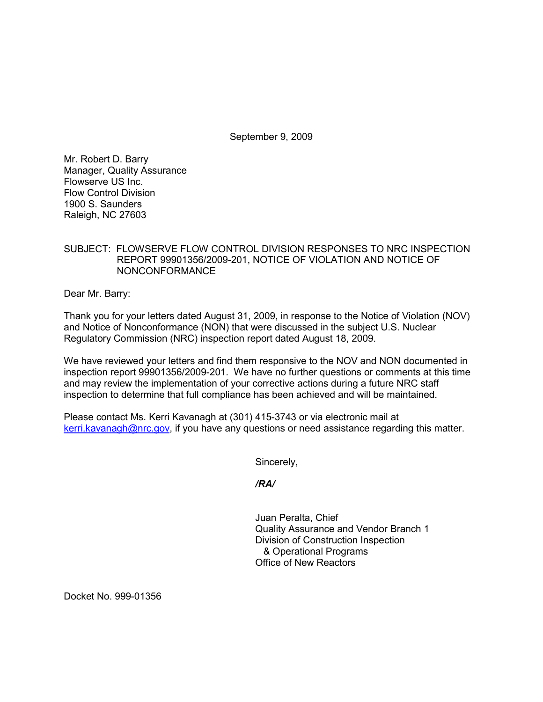September 9, 2009

Mr. Robert D. Barry Manager, Quality Assurance Flowserve US Inc. Flow Control Division 1900 S. Saunders Raleigh, NC 27603

## SUBJECT: FLOWSERVE FLOW CONTROL DIVISION RESPONSES TO NRC INSPECTION REPORT 99901356/2009-201, NOTICE OF VIOLATION AND NOTICE OF NONCONFORMANCE

Dear Mr. Barry:

Thank you for your letters dated August 31, 2009, in response to the Notice of Violation (NOV) and Notice of Nonconformance (NON) that were discussed in the subject U.S. Nuclear Regulatory Commission (NRC) inspection report dated August 18, 2009.

We have reviewed your letters and find them responsive to the NOV and NON documented in inspection report 99901356/2009-201. We have no further questions or comments at this time and may review the implementation of your corrective actions during a future NRC staff inspection to determine that full compliance has been achieved and will be maintained.

Please contact Ms. Kerri Kavanagh at (301) 415-3743 or via electronic mail at kerri.kavanagh@nrc.gov, if you have any questions or need assistance regarding this matter.

Sincerely,

*/RA/* 

Juan Peralta, Chief Quality Assurance and Vendor Branch 1 Division of Construction Inspection & Operational Programs Office of New Reactors

Docket No. 999-01356